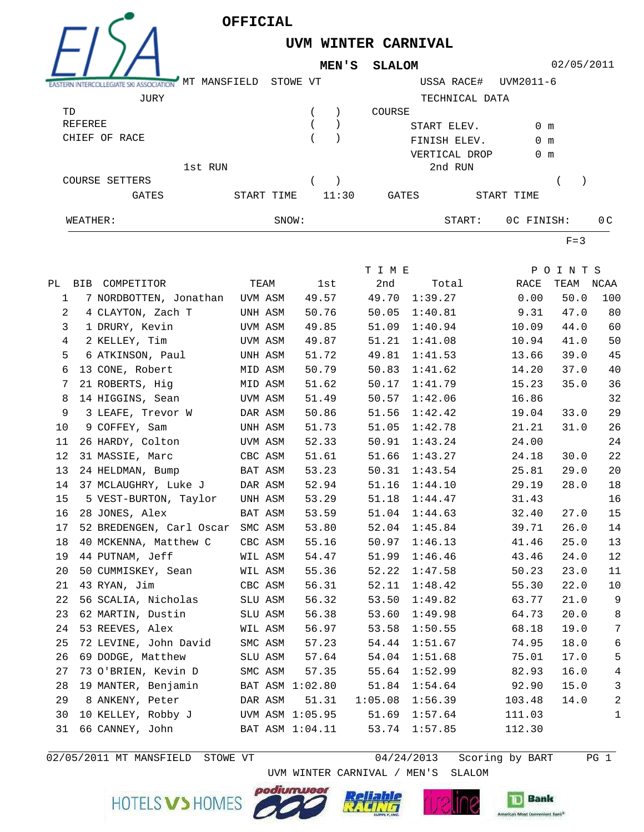

**UVM WINTER CARNIVAL**

**MEN'S SLALOM**

02/05/2011

| ASSOCIATION    | MANSFIELD<br>MТ | STOWE VT |       | USSA RACE#    |                | UVM2011-6     |                |
|----------------|-----------------|----------|-------|---------------|----------------|---------------|----------------|
| JURY           |                 |          |       |               | TECHNICAL DATA |               |                |
| TD             |                 |          |       | COURSE        |                |               |                |
| REFEREE        |                 |          |       | START ELEV.   |                | $0 \text{ m}$ |                |
| CHIEF OF RACE  |                 |          |       | FINISH ELEV.  |                | $0 \text{ m}$ |                |
|                |                 |          |       | VERTICAL DROP |                | $0 \text{ m}$ |                |
|                | 1st RUN         |          |       | 2nd RUN       |                |               |                |
| COURSE SETTERS |                 |          |       |               |                |               |                |
| <b>GATES</b>   | START TIME      |          | 11:30 | GATES         |                | START TIME    |                |
| WEATHER:       |                 | SNOW:    |       |               | START:         | OC FINISH:    | 0 <sup>C</sup> |

 $F=3$ 

|             |                                    |         |      |                 | T I M E |         |               | POINTS |                  |
|-------------|------------------------------------|---------|------|-----------------|---------|---------|---------------|--------|------------------|
|             | PL BIB COMPETITOR                  |         | TEAM | lst             | 2nd     |         | Total<br>RACE | TEAM   | NCAA             |
| $\mathbf 1$ | 7 NORDBOTTEN, Jonathan UVM ASM     |         |      | 49.57           | 49.70   | 1:39.27 | 0.00          | 50.0   | 100              |
| 2           | 4 CLAYTON, Zach T                  | UNH ASM |      | 50.76           | 50.05   | 1:40.81 | 9.31          | 47.0   | 80               |
| 3           | 1 DRURY, Kevin                     | UVM ASM |      | 49.85           | 51.09   | 1:40.94 | 10.09         | 44.0   | 60               |
| 4           | 2 KELLEY, Tim                      | UVM ASM |      | 49.87           | 51.21   | 1:41.08 | 10.94         | 41.0   | 50               |
| 5           | 6 ATKINSON, Paul                   | UNH ASM |      | 51.72           | 49.81   | 1:41.53 | 13.66         | 39.0   | 45               |
| 6           | 13 CONE, Robert                    | MID ASM |      | 50.79           | 50.83   | 1:41.62 | 14.20         | 37.0   | 40               |
| 7           | 21 ROBERTS, Hig                    | MID ASM |      | 51.62           | 50.17   | 1:41.79 | 15.23         | 35.0   | 36               |
| 8           | 14 HIGGINS, Sean                   | UVM ASM |      | 51.49           | 50.57   | 1:42.06 | 16.86         |        | 32               |
| 9           | 3 LEAFE, Trevor W                  | DAR ASM |      | 50.86           | 51.56   | 1:42.42 | 19.04         | 33.0   | 29               |
| 10          | 9 COFFEY, Sam                      | UNH ASM |      | 51.73           | 51.05   | 1:42.78 | 21.21         | 31.0   | 26               |
| 11          | 26 HARDY, Colton                   | UVM ASM |      | 52.33           | 50.91   | 1:43.24 | 24.00         |        | 24               |
| 12          | 31 MASSIE, Marc                    | CBC ASM |      | 51.61           | 51.66   | 1:43.27 | 24.18         | 30.0   | 22               |
| 13          | 24 HELDMAN, Bump                   | BAT ASM |      | 53.23           | 50.31   | 1:43.54 | 25.81         | 29.0   | 20               |
| 14          | 37 MCLAUGHRY, Luke J               | DAR ASM |      | 52.94           | 51.16   | 1:44.10 | 29.19         | 28.0   | 18               |
| 15          | 5 VEST-BURTON, Taylor              | UNH ASM |      | 53.29           | 51.18   | 1:44.47 | 31.43         |        | 16               |
| 16          | 28 JONES, Alex                     | BAT ASM |      | 53.59           | 51.04   | 1:44.63 | 32.40         | 27.0   | 15               |
| 17          | 52 BREDENGEN, Carl Oscar SMC ASM   |         |      | 53.80           | 52.04   | 1:45.84 | 39.71         | 26.0   | 14               |
| 18          | 40 MCKENNA, Matthew C              | CBC ASM |      | 55.16           | 50.97   | 1:46.13 | 41.46         | 25.0   | 13               |
| 19          | 44 PUTNAM, Jeff                    | WIL ASM |      | 54.47           | 51.99   | 1:46.46 | 43.46         | 24.0   | 12               |
| 20          | 50 CUMMISKEY, Sean                 | WIL ASM |      | 55.36           | 52.22   | 1:47.58 | 50.23         | 23.0   | 11               |
| 21          | 43 RYAN, Jim                       | CBC ASM |      | 56.31           | 52.11   | 1:48.42 | 55.30         | 22.0   | $10$             |
| 22          | 56 SCALIA, Nicholas                | SLU ASM |      | 56.32           | 53.50   | 1:49.82 | 63.77         | 21.0   | 9                |
| 23          | 62 MARTIN, Dustin                  | SLU ASM |      | 56.38           | 53.60   | 1:49.98 | 64.73         | 20.0   | 8                |
| 24          | 53 REEVES, Alex                    | WIL ASM |      | 56.97           | 53.58   | 1:50.55 | 68.18         | 19.0   | $\boldsymbol{7}$ |
| 25          | 72 LEVINE, John David              | SMC ASM |      | 57.23           | 54.44   | 1:51.67 | 74.95         | 18.0   | 6                |
| 26          | 69 DODGE, Matthew                  | SLU ASM |      | 57.64           | 54.04   | 1:51.68 | 75.01         | 17.0   | 5                |
| 27          | 73 O'BRIEN, Kevin D                | SMC ASM |      | 57.35           | 55.64   | 1:52.99 | 82.93         | 16.0   | $\sqrt{4}$       |
| 28          | 19 MANTER, Benjamin                |         |      | BAT ASM 1:02.80 | 51.84   | 1:54.64 | 92.90         | 15.0   | $\mathbf{3}$     |
| 29          | 8 ANKENY, Peter                    | DAR ASM |      | 51.31           | 1:05.08 | 1:56.39 | 103.48        | 14.0   | $\sqrt{2}$       |
| 30          | 10 KELLEY, Robby J UVM ASM 1:05.95 |         |      |                 | 51.69   | 1:57.64 | 111.03        |        | $\mathbf 1$      |
| 31          | 66 CANNEY, John                    |         |      | BAT ASM 1:04.11 | 53.74   | 1:57.85 | 112.30        |        |                  |
|             |                                    |         |      |                 |         |         |               |        |                  |

 $02/05/2011$  MT MANSFIELD STOWE VT

 $04/24/2013$  Scoring by BART PG 1